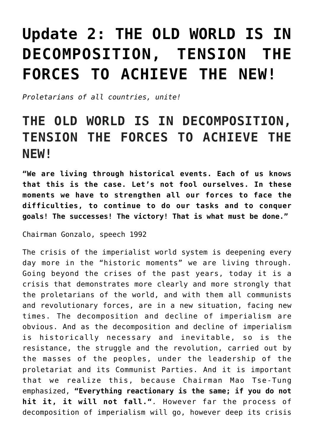## **[Update 2: THE OLD WORLD IS IN](https://ci-ic.org/blog/2022/05/24/the-old-world-is-in-decomposition-tension-the-forces-to-achieve-the-new/) [DECOMPOSITION, TENSION THE](https://ci-ic.org/blog/2022/05/24/the-old-world-is-in-decomposition-tension-the-forces-to-achieve-the-new/) [FORCES TO ACHIEVE THE NEW!](https://ci-ic.org/blog/2022/05/24/the-old-world-is-in-decomposition-tension-the-forces-to-achieve-the-new/)**

*Proletarians of all countries, unite!*

## **THE OLD WORLD IS IN DECOMPOSITION, TENSION THE FORCES TO ACHIEVE THE NEW!**

**"We are living through historical events. Each of us knows that this is the case. Let's not fool ourselves. In these moments we have to strengthen all our forces to face the difficulties, to continue to do our tasks and to conquer goals! The successes! The victory! That is what must be done."**

Chairman Gonzalo, speech 1992

The crisis of the imperialist world system is deepening every day more in the "historic moments" we are living through. Going beyond the crises of the past years, today it is a crisis that demonstrates more clearly and more strongly that the proletarians of the world, and with them all communists and revolutionary forces, are in a new situation, facing new times. The decomposition and decline of imperialism are obvious. And as the decomposition and decline of imperialism is historically necessary and inevitable, so is the resistance, the struggle and the revolution, carried out by the masses of the peoples, under the leadership of the proletariat and its Communist Parties. And it is important that we realize this, because Chairman Mao Tse-Tung emphasized, **"Everything reactionary is the same; if you do not hit it, it will not fall."***.* However far the process of decomposition of imperialism will go, however deep its crisis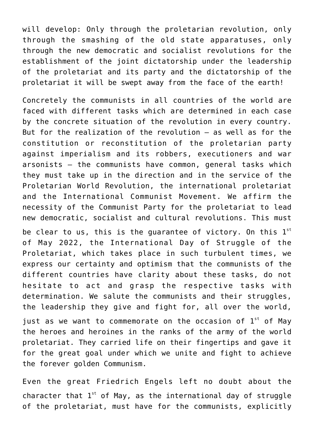will develop: Only through the proletarian revolution, only through the smashing of the old state apparatuses, only through the new democratic and socialist revolutions for the establishment of the joint dictatorship under the leadership of the proletariat and its party and the dictatorship of the proletariat it will be swept away from the face of the earth!

Concretely the communists in all countries of the world are faced with different tasks which are determined in each case by the concrete situation of the revolution in every country. But for the realization of the revolution – as well as for the constitution or reconstitution of the proletarian party against imperialism and its robbers, executioners and war arsonists – the communists have common, general tasks which they must take up in the direction and in the service of the Proletarian World Revolution, the international proletariat and the International Communist Movement. We affirm the necessity of the Communist Party for the proletariat to lead new democratic, socialist and cultural revolutions. This must

be clear to us, this is the quarantee of victory. On this  $1<sup>st</sup>$ of May 2022, the International Day of Struggle of the Proletariat, which takes place in such turbulent times, we express our certainty and optimism that the communists of the different countries have clarity about these tasks, do not hesitate to act and grasp the respective tasks with determination. We salute the communists and their struggles, the leadership they give and fight for, all over the world,

just as we want to commemorate on the occasion of  $1<sup>st</sup>$  of May the heroes and heroines in the ranks of the army of the world proletariat. They carried life on their fingertips and gave it for the great goal under which we unite and fight to achieve the forever golden Communism.

Even the great Friedrich Engels left no doubt about the character that  $1^{st}$  of May, as the international day of struggle of the proletariat, must have for the communists, explicitly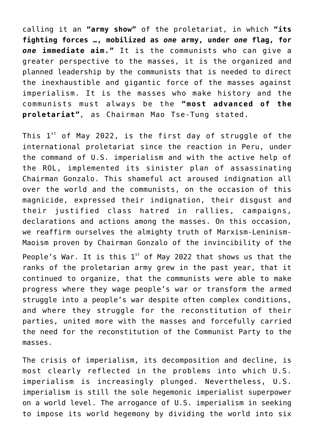calling it an **"army show"** of the proletariat, in which **"its fighting forces …, mobilized as** *one* **army, under** *one* **flag, for** *one* **immediate aim."** It is the communists who can give a greater perspective to the masses, it is the organized and planned leadership by the communists that is needed to direct the inexhaustible and gigantic force of the masses against imperialism. It is the masses who make history and the communists must always be the **"most advanced of the proletariat"***,* as Chairman Mao Tse-Tung stated.

This  $1^{st}$  of May 2022, is the first day of struggle of the international proletariat since the reaction in Peru, under the command of U.S. imperialism and with the active help of the ROL, implemented its sinister plan of assassinating Chairman Gonzalo. This shameful act aroused indignation all over the world and the communists, on the occasion of this magnicide, expressed their indignation, their disgust and their justified class hatred in rallies, campaigns, declarations and actions among the masses. On this occasion, we reaffirm ourselves the almighty truth of Marxism-Leninism-Maoism proven by Chairman Gonzalo of the invincibility of the People's War. It is this  $1^{st}$  of May 2022 that shows us that the ranks of the proletarian army grew in the past year, that it continued to organize, that the communists were able to make progress where they wage people's war or transform the armed struggle into a people's war despite often complex conditions, and where they struggle for the reconstitution of their parties, united more with the masses and forcefully carried the need for the reconstitution of the Communist Party to the masses.

The crisis of imperialism, its decomposition and decline, is most clearly reflected in the problems into which U.S. imperialism is increasingly plunged. Nevertheless, U.S. imperialism is still the sole hegemonic imperialist superpower on a world level. The arrogance of U.S. imperialism in seeking to impose its world hegemony by dividing the world into six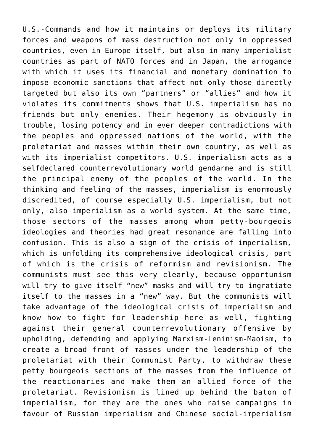U.S.-Commands and how it maintains or deploys its military forces and weapons of mass destruction not only in oppressed countries, even in Europe itself, but also in many imperialist countries as part of NATO forces and in Japan, the arrogance with which it uses its financial and monetary domination to impose economic sanctions that affect not only those directly targeted but also its own "partners" or "allies" and how it violates its commitments shows that U.S. imperialism has no friends but only enemies. Their hegemony is obviously in trouble, losing potency and in ever deeper contradictions with the peoples and oppressed nations of the world, with the proletariat and masses within their own country, as well as with its imperialist competitors. U.S. imperialism acts as a selfdeclared counterrevolutionary world gendarme and is still the principal enemy of the peoples of the world. In the thinking and feeling of the masses, imperialism is enormously discredited, of course especially U.S. imperialism, but not only, also imperialism as a world system. At the same time, those sectors of the masses among whom petty-bourgeois ideologies and theories had great resonance are falling into confusion. This is also a sign of the crisis of imperialism, which is unfolding its comprehensive ideological crisis, part of which is the crisis of reformism and revisionism. The communists must see this very clearly, because opportunism will try to give itself "new" masks and will try to ingratiate itself to the masses in a "new" way. But the communists will take advantage of the ideological crisis of imperialism and know how to fight for leadership here as well, fighting against their general counterrevolutionary offensive by upholding, defending and applying Marxism-Leninism-Maoism, to create a broad front of masses under the leadership of the proletariat with their Communist Party, to withdraw these petty bourgeois sections of the masses from the influence of the reactionaries and make them an allied force of the proletariat. Revisionism is lined up behind the baton of imperialism, for they are the ones who raise campaigns in favour of Russian imperialism and Chinese social-imperialism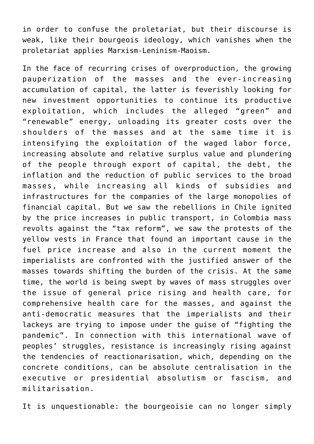in order to confuse the proletariat, but their discourse is weak, like their bourgeois ideology, which vanishes when the proletariat applies Marxism-Leninism-Maoism.

In the face of recurring crises of overproduction, the growing pauperization of the masses and the ever-increasing accumulation of capital, the latter is feverishly looking for new investment opportunities to continue its productive exploitation, which includes the alleged "green" and "renewable" energy, unloading its greater costs over the shoulders of the masses and at the same time it is intensifying the exploitation of the waged labor force, increasing absolute and relative surplus value and plundering of the people through export of capital, the debt, the inflation and the reduction of public services to the broad masses, while increasing all kinds of subsidies and infrastructures for the companies of the large monopolies of financial capital. But we saw the rebellions in Chile ignited by the price increases in public transport, in Colombia mass revolts against the "tax reform", we saw the protests of the yellow vests in France that found an important cause in the fuel price increase and also in the current moment the imperialists are confronted with the justified answer of the masses towards shifting the burden of the crisis. At the same time, the world is being swept by waves of mass struggles over the issue of general price rising and health care, for comprehensive health care for the masses, and against the anti-democratic measures that the imperialists and their lackeys are trying to impose under the guise of "fighting the pandemic". In connection with this international wave of peoples' struggles, resistance is increasingly rising against the tendencies of reactionarisation, which, depending on the concrete conditions, can be absolute centralisation in the executive or presidential absolutism or fascism, and militarisation.

It is unquestionable: the bourgeoisie can no longer simply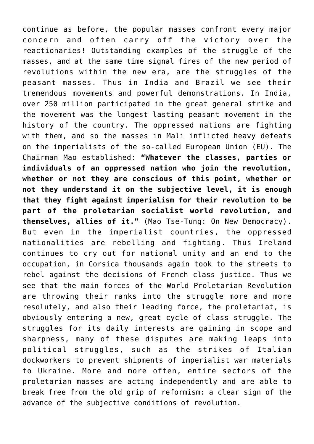continue as before, the popular masses confront every major concern and often carry off the victory over the reactionaries! Outstanding examples of the struggle of the masses, and at the same time signal fires of the new period of revolutions within the new era, are the struggles of the peasant masses. Thus in India and Brazil we see their tremendous movements and powerful demonstrations. In India, over 250 million participated in the great general strike and the movement was the longest lasting peasant movement in the history of the country. The oppressed nations are fighting with them, and so the masses in Mali inflicted heavy defeats on the imperialists of the so-called European Union (EU). The Chairman Mao established: **"Whatever the classes, parties or individuals of an oppressed nation who join the revolution, whether or not they are conscious of this point, whether or not they understand it on the subjective level, it is enough that they fight against imperialism for their revolution to be part of the proletarian socialist world revolution, and themselves, allies of it."** (Mao Tse-Tung: On New Democracy). But even in the imperialist countries, the oppressed nationalities are rebelling and fighting. Thus Ireland continues to cry out for national unity and an end to the occupation, in Corsica thousands again took to the streets to rebel against the decisions of French class justice. Thus we see that the main forces of the World Proletarian Revolution are throwing their ranks into the struggle more and more resolutely, and also their leading force, the proletariat, is obviously entering a new, great cycle of class struggle. The struggles for its daily interests are gaining in scope and sharpness, many of these disputes are making leaps into political struggles, such as the strikes of Italian dockworkers to prevent shipments of imperialist war materials to Ukraine. More and more often, entire sectors of the proletarian masses are acting independently and are able to break free from the old grip of reformism: a clear sign of the advance of the subjective conditions of revolution.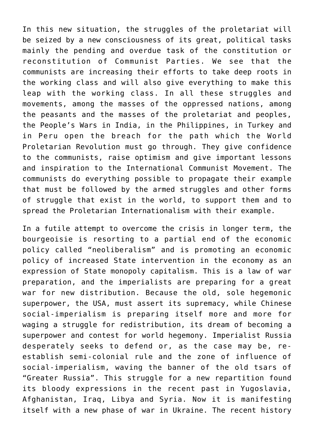In this new situation, the struggles of the proletariat will be seized by a new consciousness of its great, political tasks mainly the pending and overdue task of the constitution or reconstitution of Communist Parties. We see that the communists are increasing their efforts to take deep roots in the working class and will also give everything to make this leap with the working class. In all these struggles and movements, among the masses of the oppressed nations, among the peasants and the masses of the proletariat and peoples, the People's Wars in India, in the Philippines, in Turkey and in Peru open the breach for the path which the World Proletarian Revolution must go through. They give confidence to the communists, raise optimism and give important lessons and inspiration to the International Communist Movement. The communists do everything possible to propagate their example that must be followed by the armed struggles and other forms of struggle that exist in the world, to support them and to spread the Proletarian Internationalism with their example.

In a futile attempt to overcome the crisis in longer term, the bourgeoisie is resorting to a partial end of the economic policy called "neoliberalism" and is promoting an economic policy of increased State intervention in the economy as an expression of State monopoly capitalism. This is a law of war preparation, and the imperialists are preparing for a great war for new distribution. Because the old, sole hegemonic superpower, the USA, must assert its supremacy, while Chinese social-imperialism is preparing itself more and more for waging a struggle for redistribution, its dream of becoming a superpower and contest for world hegemony. Imperialist Russia desperately seeks to defend or, as the case may be, reestablish semi-colonial rule and the zone of influence of social-imperialism, waving the banner of the old tsars of "Greater Russia". This struggle for a new repartition found its bloody expressions in the recent past in Yugoslavia, Afghanistan, Iraq, Libya and Syria. Now it is manifesting itself with a new phase of war in Ukraine. The recent history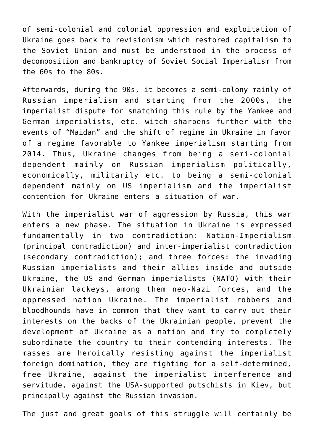of semi-colonial and colonial oppression and exploitation of Ukraine goes back to revisionism which restored capitalism to the Soviet Union and must be understood in the process of decomposition and bankruptcy of Soviet Social Imperialism from the 60s to the 80s.

Afterwards, during the 90s, it becomes a semi-colony mainly of Russian imperialism and starting from the 2000s, the imperialist dispute for snatching this rule by the Yankee and German imperialists, etc. witch sharpens further with the events of "Maidan" and the shift of regime in Ukraine in favor of a regime favorable to Yankee imperialism starting from 2014. Thus, Ukraine changes from being a semi-colonial dependent mainly on Russian imperialism politically, economically, militarily etc. to being a semi-colonial dependent mainly on US imperialism and the imperialist contention for Ukraine enters a situation of war.

With the imperialist war of aggression by Russia, this war enters a new phase. The situation in Ukraine is expressed fundamentally in two contradiction: Nation-Imperialism (principal contradiction) and inter-imperialist contradiction (secondary contradiction); and three forces: the invading Russian imperialists and their allies inside and outside Ukraine, the US and German imperialists (NATO) with their Ukrainian lackeys, among them neo-Nazi forces, and the oppressed nation Ukraine. The imperialist robbers and bloodhounds have in common that they want to carry out their interests on the backs of the Ukrainian people, prevent the development of Ukraine as a nation and try to completely subordinate the country to their contending interests. The masses are heroically resisting against the imperialist foreign domination, they are fighting for a self-determined, free Ukraine, against the imperialist interference and servitude, against the USA-supported putschists in Kiev, but principally against the Russian invasion.

The just and great goals of this struggle will certainly be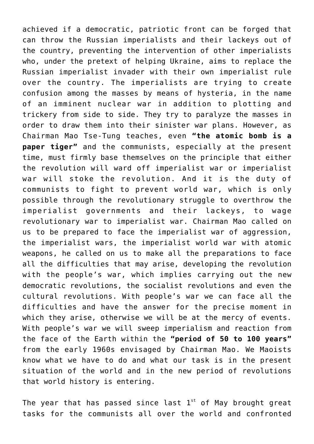achieved if a democratic, patriotic front can be forged that can throw the Russian imperialists and their lackeys out of the country, preventing the intervention of other imperialists who, under the pretext of helping Ukraine, aims to replace the Russian imperialist invader with their own imperialist rule over the country. The imperialists are trying to create confusion among the masses by means of hysteria, in the name of an imminent nuclear war in addition to plotting and trickery from side to side. They try to paralyze the masses in order to draw them into their sinister war plans. However, as Chairman Mao Tse-Tung teaches, even **"the atomic bomb is a paper tiger"** and the communists, especially at the present time, must firmly base themselves on the principle that either the revolution will ward off imperialist war or imperialist war will stoke the revolution. And it is the duty of communists to fight to prevent world war, which is only possible through the revolutionary struggle to overthrow the imperialist governments and their lackeys, to wage revolutionary war to imperialist war. Chairman Mao called on us to be prepared to face the imperialist war of aggression, the imperialist wars, the imperialist world war with atomic weapons, he called on us to make all the preparations to face all the difficulties that may arise, developing the revolution with the people's war, which implies carrying out the new democratic revolutions, the socialist revolutions and even the cultural revolutions. With people's war we can face all the difficulties and have the answer for the precise moment in which they arise, otherwise we will be at the mercy of events. With people's war we will sweep imperialism and reaction from the face of the Earth within the **"period of 50 to 100 years"** from the early 1960s envisaged by Chairman Mao. We Maoists know what we have to do and what our task is in the present situation of the world and in the new period of revolutions that world history is entering.

The year that has passed since last  $1<sup>st</sup>$  of May brought great tasks for the communists all over the world and confronted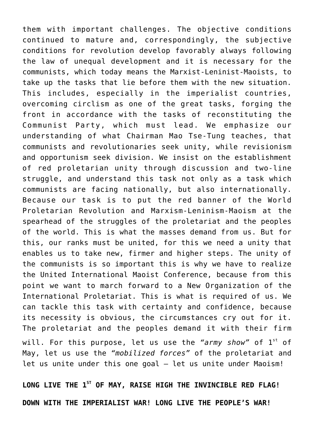them with important challenges. The objective conditions continued to mature and, correspondingly, the subjective conditions for revolution develop favorably always following the law of unequal development and it is necessary for the communists, which today means the Marxist-Leninist-Maoists, to take up the tasks that lie before them with the new situation. This includes, especially in the imperialist countries, overcoming circlism as one of the great tasks, forging the front in accordance with the tasks of reconstituting the Communist Party, which must lead. We emphasize our understanding of what Chairman Mao Tse-Tung teaches, that communists and revolutionaries seek unity, while revisionism and opportunism seek division. We insist on the establishment of red proletarian unity through discussion and two-line struggle, and understand this task not only as a task which communists are facing nationally, but also internationally. Because our task is to put the red banner of the World Proletarian Revolution and Marxism-Leninism-Maoism at the spearhead of the struggles of the proletariat and the peoples of the world. This is what the masses demand from us. But for this, our ranks must be united, for this we need a unity that enables us to take new, firmer and higher steps. The unity of the communists is so important this is why we have to realize the United International Maoist Conference, because from this point we want to march forward to a New Organization of the International Proletariat. This is what is required of us. We can tackle this task with certainty and confidence, because its necessity is obvious, the circumstances cry out for it. The proletariat and the peoples demand it with their firm will. For this purpose, let us use the "army show" of 1<sup>st</sup> of May, let us use the *"mobilized forces"* of the proletariat and let us unite under this one goal - let us unite under Maoism!

**LONG LIVE THE 1ST OF MAY, RAISE HIGH THE INVINCIBLE RED FLAG! DOWN WITH THE IMPERIALIST WAR! LONG LIVE THE PEOPLE'S WAR!**